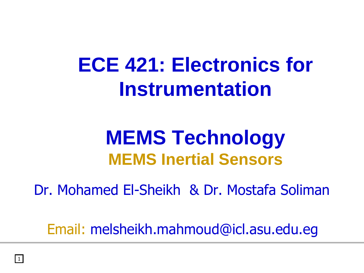# **ECE 421: Electronics for Instrumentation**

## **MEMS Technology MEMS Inertial Sensors**

Dr. Mohamed El-Sheikh & Dr. Mostafa Soliman

Email: melsheikh.mahmoud@icl.asu.edu.eg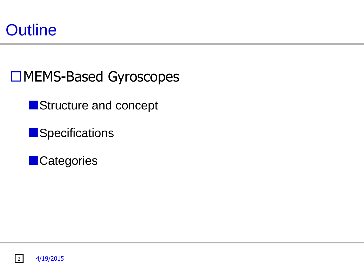

□MEMS-Based Gyroscopes

Structure and concept

**Specifications** 

**Categories** 

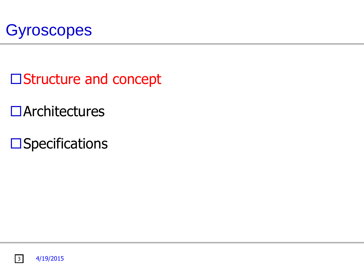

- □Structure and concept
- Architectures
- $\square$ Specifications

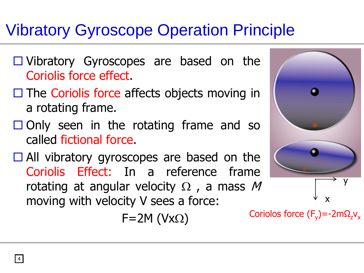### Vibratory Gyroscope Operation Principle

- $\Box$  Vibratory Gyroscopes are based on the Coriolis force effect.
- $\Box$  The Coriolis force affects objects moving in a rotating frame.
- $\Box$  Only seen in the rotating frame and so called fictional force.
- $\Box$  All vibratory gyroscopes are based on the Coriolis Effect: In a reference frame rotating at angular velocity  $\Omega$ , a mass M moving with velocity V sees a force:

 $F=2M (Vx<sub>\Omega</sub>)$ 



Coriolos force  $(F_y)$ =-2m $\Omega_z$ v<sub>x</sub>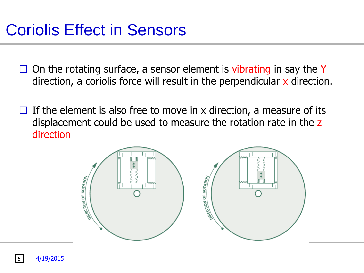### Coriolis Effect in Sensors

- $\Box$  On the rotating surface, a sensor element is vibrating in say the Y direction, a coriolis force will result in the perpendicular x direction.
- $\Box$  If the element is also free to move in x direction, a measure of its displacement could be used to measure the rotation rate in the z direction

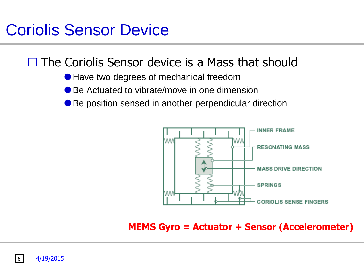### Coriolis Sensor Device

#### $\Box$  The Coriolis Sensor device is a Mass that should

- Have two degrees of mechanical freedom
- Be Actuated to vibrate/move in one dimension
- Be position sensed in another perpendicular direction



**MEMS Gyro = Actuator + Sensor (Accelerometer)**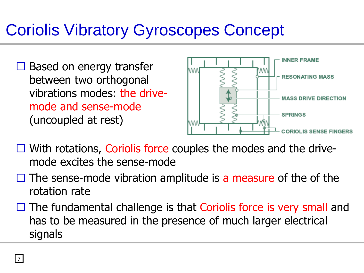### Coriolis Vibratory Gyroscopes Concept

 $\Box$  Based on energy transfer between two orthogonal vibrations modes: the drivemode and sense-mode (uncoupled at rest)



- $\Box$  With rotations, Coriolis force couples the modes and the drivemode excites the sense-mode
- $\Box$  The sense-mode vibration amplitude is a measure of the of the rotation rate
- $\Box$  The fundamental challenge is that Coriolis force is very small and has to be measured in the presence of much larger electrical signals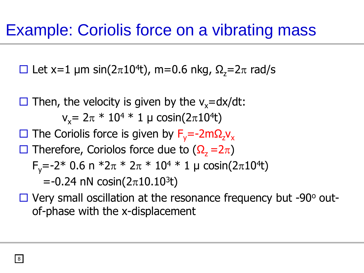#### Example: Coriolis force on a vibrating mass

 $\Box$  Let x=1 µm sin(2 $\pi$ 10<sup>4</sup>t), m=0.6 nkg,  $\Omega$ <sub>z</sub>=2 $\pi$  rad/s

 $\Box$  Then, the velocity is given by the v<sub>x</sub>=dx/dt:  $v_x = 2\pi * 10^4 * 1 \mu cosin(2\pi 10^4 t)$  $\Box$  The Coriolis force is given by F<sub>y</sub>=-2mΩ<sub>z</sub>v<sub>x</sub>  $\Box$  Therefore, Coriolos force due to (Ω<sub>z</sub> = 2π) F<sub>y</sub>=-2\* 0.6 n \*2 $\pi$  \* 2 $\pi$  \* 10<sup>4</sup> \* 1 µ cosin(2 $\pi$ 10<sup>4</sup>t)  $=$ -0.24 nN cosin(2 $\pi$ 10.10<sup>3</sup>t)

 $\Box$  Very small oscillation at the resonance frequency but -90 $^{\circ}$  outof-phase with the x-displacement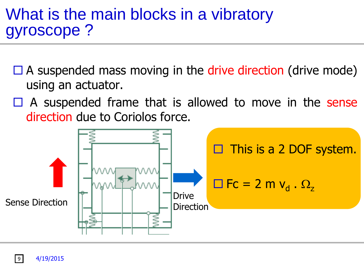#### What is the main blocks in a vibratory gyroscope ?

- $\Box$  A suspended mass moving in the drive direction (drive mode) using an actuator.
- $\Box$  A suspended frame that is allowed to move in the sense direction due to Coriolos force.



9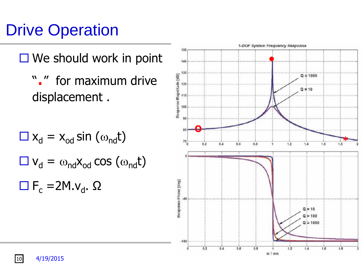### Drive Operation

- $\Box$  We should work in point
	- " ." for maximum drive displacement .

$$
\begin{aligned}\n\Box \mathbf{x}_{d} &= \mathbf{x}_{od} \sin \left( \omega_{nd} \mathbf{t} \right) \\
\Box \mathbf{v}_{d} &= \omega_{nd} \mathbf{x}_{od} \cos \left( \omega_{nd} \mathbf{t} \right) \\
\Box \mathbf{F}_{c} &= 2M \cdot \mathbf{v}_{d}.\ \Omega\n\end{aligned}
$$



10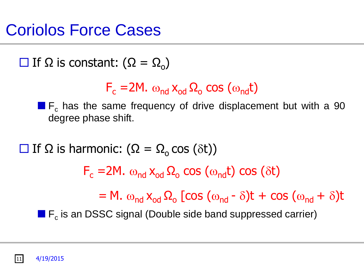### Coriolos Force Cases

 $\Box$  If Ω is constant: (Ω = Ω<sub>o</sub>)

$$
F_c = 2M. \omega_{nd} x_{od} \Omega_o \cos{(\omega_{nd} t)}
$$

 $\blacksquare$  F<sub>c</sub> has the same frequency of drive displacement but with a 90 degree phase shift.

 $\Box$  If Ω is harmonic: (Ω = Ω<sub>o</sub> cos (δt))  $F_c = 2M$ .  $\omega_{nd} x_{od} \Omega_o \cos{(\omega_{nd} t)} \cos{(\delta t)}$  $= M. \omega_{\text{nd}} x_{\text{od}} \Omega_{\text{o}}$  [cos  $(\omega_{\text{nd}} - \delta)t + \cos (\omega_{\text{nd}} + \delta)t$  $\blacksquare$  F<sub>c</sub> is an DSSC signal (Double side band suppressed carrier)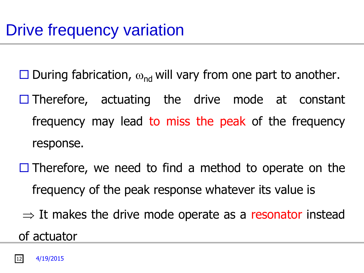- $\square$  During fabrication,  $\omega_{\rm nd}$  will vary from one part to another.
- $\Box$  Therefore, actuating the drive mode at constant frequency may lead to miss the peak of the frequency response.
- $\Box$  Therefore, we need to find a method to operate on the frequency of the peak response whatever its value is
- $\Rightarrow$  It makes the drive mode operate as a resonator instead of actuator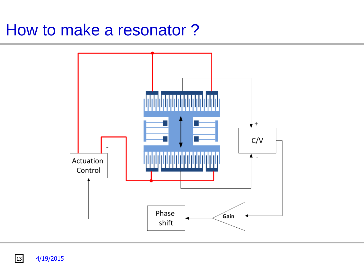#### How to make a resonator ?



 $\boxed{13}$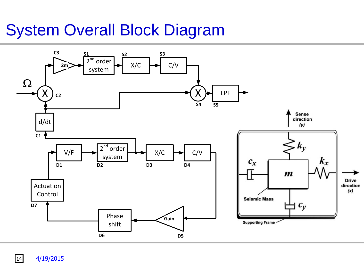#### System Overall Block Diagram



**14**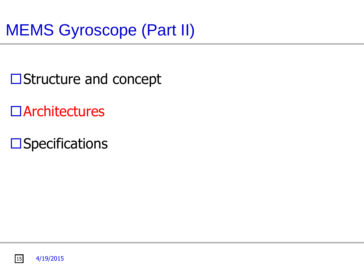- **□Structure and concept**
- Architectures
- $\square$ Specifications

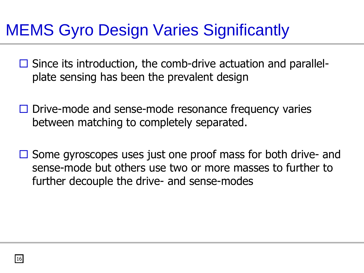### MEMS Gyro Design Varies Significantly

- $\Box$  Since its introduction, the comb-drive actuation and parallelplate sensing has been the prevalent design
- $\Box$  Drive-mode and sense-mode resonance frequency varies between matching to completely separated.
- $\Box$  Some gyroscopes uses just one proof mass for both drive- and sense-mode but others use two or more masses to further to further decouple the drive- and sense-modes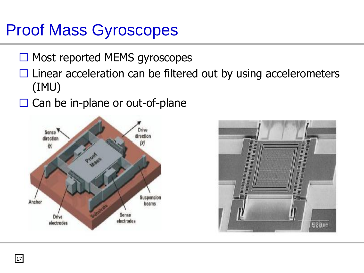### Proof Mass Gyroscopes

- $\Box$  Most reported MEMS gyroscopes
- $\Box$  Linear acceleration can be filtered out by using accelerometers (IMU)
- $\Box$  Can be in-plane or out-of-plane



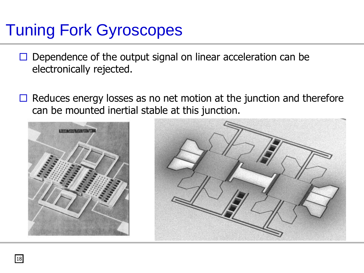### Tuning Fork Gyroscopes

- $\Box$  Dependence of the output signal on linear acceleration can be electronically rejected.
- $\Box$  Reduces energy losses as no net motion at the junction and therefore can be mounted inertial stable at this junction.



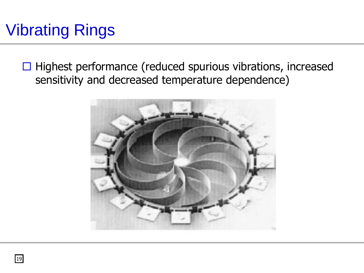### Vibrating Rings

 $\Box$  Highest performance (reduced spurious vibrations, increased sensitivity and decreased temperature dependence)

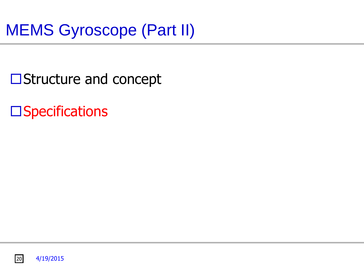- **□Structure and concept**
- $\square$ Specifications

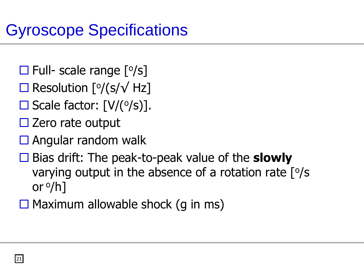- $\square$  Full- scale range  $[°/s]$
- $□$  Resolution [ $\frac{\circ}{s}$  /(s/ $\sqrt{Hz}$ ]
- $\square$  Scale factor:  $[V/(°/s)]$ .
- $\square$  Zero rate output
- $\square$  Angular random walk
- Bias drift: The peak-to-peak value of the **slowly** varying output in the absence of a rotation rate  $[°/s]$ or <sup>o</sup>/h]
- $\Box$  Maximum allowable shock (q in ms)